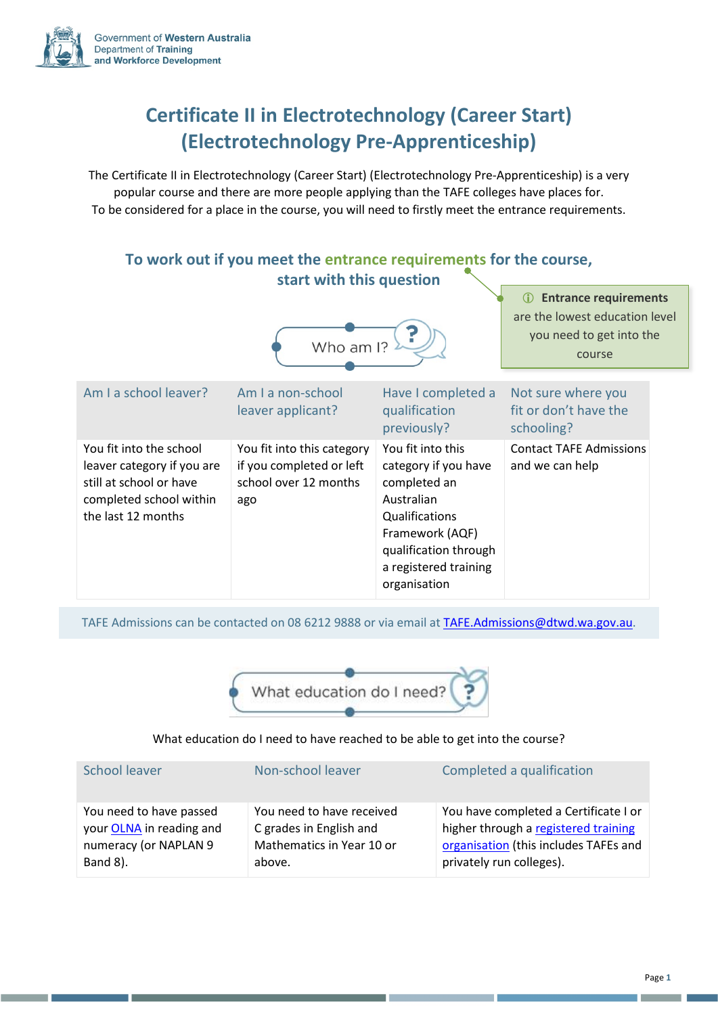

## **Certificate II in Electrotechnology (Career Start) (Electrotechnology Pre-Apprenticeship)**

The Certificate II in Electrotechnology (Career Start) (Electrotechnology Pre-Apprenticeship) is a very popular course and there are more people applying than the TAFE colleges have places for. To be considered for a place in the course, you will need to firstly meet the entrance requirements.

## **To work out if you meet the entrance requirements for the course, start with this question**



TAFE Admissions can be contacted on 08 6212 9888 or via email at [TAFE.Admissions@dtwd.wa.gov.au.](mailto:TAFE.Admissions@dtwd.wa.gov.au)



## What education do I need to have reached to be able to get into the course?

| School leaver            | Non-school leaver         | Completed a qualification             |
|--------------------------|---------------------------|---------------------------------------|
| You need to have passed  | You need to have received | You have completed a Certificate I or |
| your OLNA in reading and | C grades in English and   | higher through a registered training  |
| numeracy (or NAPLAN 9    | Mathematics in Year 10 or | organisation (this includes TAFEs and |
| Band 8).                 | above.                    | privately run colleges).              |